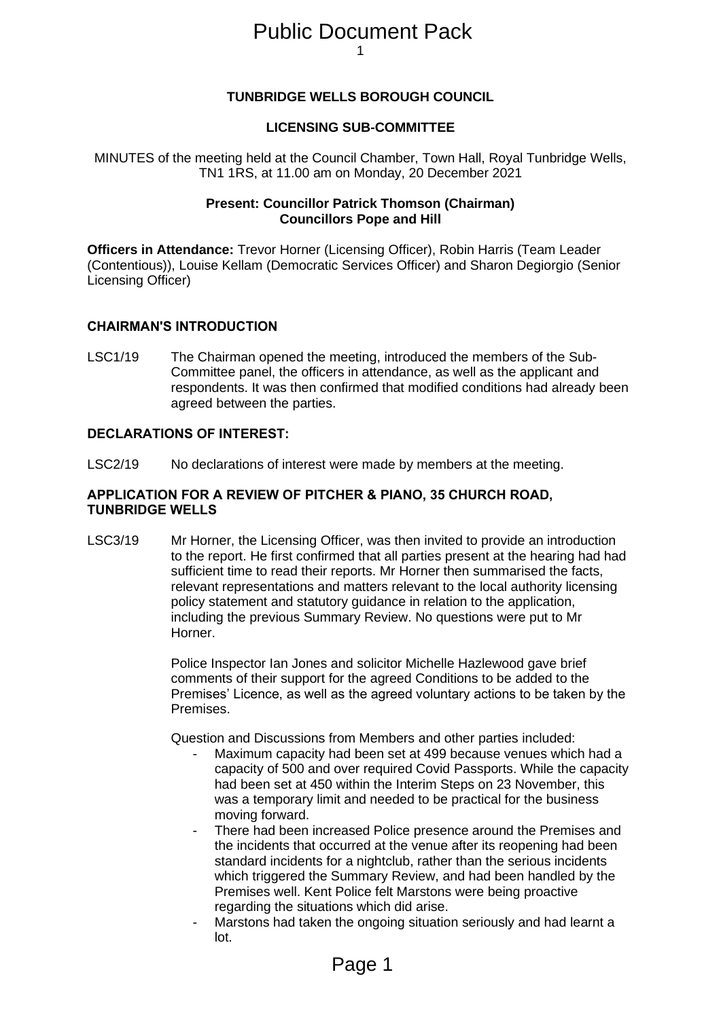# 1 Public Document Pack

## **TUNBRIDGE WELLS BOROUGH COUNCIL**

### **LICENSING SUB-COMMITTEE**

MINUTES of the meeting held at the Council Chamber, Town Hall, Royal Tunbridge Wells, TN1 1RS, at 11.00 am on Monday, 20 December 2021

### **Present: Councillor Patrick Thomson (Chairman) Councillors Pope and Hill**

**Officers in Attendance:** Trevor Horner (Licensing Officer), Robin Harris (Team Leader (Contentious)), Louise Kellam (Democratic Services Officer) and Sharon Degiorgio (Senior Licensing Officer)

### **CHAIRMAN'S INTRODUCTION**

LSC1/19 The Chairman opened the meeting, introduced the members of the Sub-Committee panel, the officers in attendance, as well as the applicant and respondents. It was then confirmed that modified conditions had already been agreed between the parties.

### **DECLARATIONS OF INTEREST:**

LSC2/19 No declarations of interest were made by members at the meeting.

### **APPLICATION FOR A REVIEW OF PITCHER & PIANO, 35 CHURCH ROAD, TUNBRIDGE WELLS**

LSC3/19 Mr Horner, the Licensing Officer, was then invited to provide an introduction to the report. He first confirmed that all parties present at the hearing had had sufficient time to read their reports. Mr Horner then summarised the facts, relevant representations and matters relevant to the local authority licensing policy statement and statutory guidance in relation to the application, including the previous Summary Review. No questions were put to Mr Horner.

> Police Inspector Ian Jones and solicitor Michelle Hazlewood gave brief comments of their support for the agreed Conditions to be added to the Premises' Licence, as well as the agreed voluntary actions to be taken by the Premises.

Question and Discussions from Members and other parties included:

- Maximum capacity had been set at 499 because venues which had a capacity of 500 and over required Covid Passports. While the capacity had been set at 450 within the Interim Steps on 23 November, this was a temporary limit and needed to be practical for the business moving forward.
- There had been increased Police presence around the Premises and the incidents that occurred at the venue after its reopening had been standard incidents for a nightclub, rather than the serious incidents which triggered the Summary Review, and had been handled by the Premises well. Kent Police felt Marstons were being proactive regarding the situations which did arise.
- Marstons had taken the ongoing situation seriously and had learnt a lot.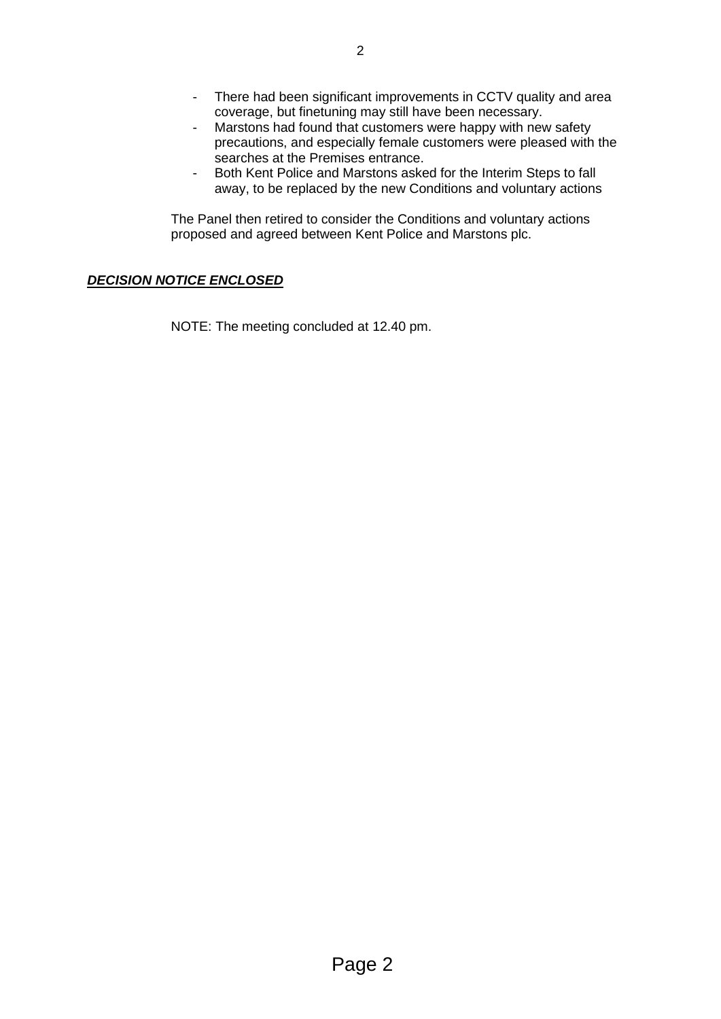- There had been significant improvements in CCTV quality and area coverage, but finetuning may still have been necessary.
- Marstons had found that customers were happy with new safety precautions, and especially female customers were pleased with the searches at the Premises entrance.
- Both Kent Police and Marstons asked for the Interim Steps to fall away, to be replaced by the new Conditions and voluntary actions

The Panel then retired to consider the Conditions and voluntary actions proposed and agreed between Kent Police and Marstons plc.

# *DECISION NOTICE ENCLOSED*

NOTE: The meeting concluded at 12.40 pm.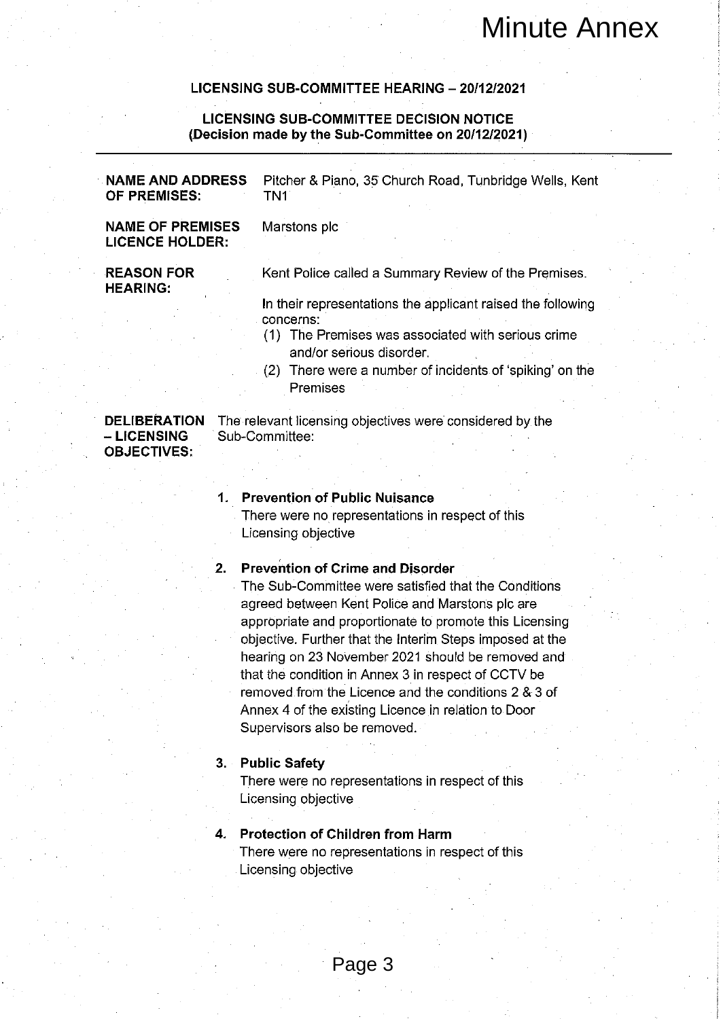|                                                   |                |                                                                                                               | <b>Minute Annex</b> |  |
|---------------------------------------------------|----------------|---------------------------------------------------------------------------------------------------------------|---------------------|--|
|                                                   |                | LICENSING SUB-COMMITTEE HEARING - 20/12/2021                                                                  |                     |  |
|                                                   |                | <b>LICENSING SUB-COMMITTEE DECISION NOTICE</b><br>(Decision made by the Sub-Committee on 20/12/2021)          |                     |  |
| <b>NAME AND ADDRESS</b><br>OF PREMISES:           |                | Pitcher & Piano, 35 Church Road, Tunbridge Wells, Kent<br>TN <sub>1</sub>                                     |                     |  |
| <b>NAME OF PREMISES</b><br><b>LICENCE HOLDER:</b> |                | Marstons plc                                                                                                  |                     |  |
| <b>REASON FOR</b><br><b>HEARING:</b>              |                | Kent Police called a Summary Review of the Premises.                                                          |                     |  |
|                                                   |                | In their representations the applicant raised the following<br>concerns:                                      |                     |  |
|                                                   |                | (1) The Premises was associated with serious crime<br>and/or serious disorder.                                |                     |  |
|                                                   |                | (2) There were a number of incidents of 'spiking' on the<br>Premises                                          |                     |  |
| <b>DELIBERATION</b><br>- LICENSING                | Sub-Committee: | The relevant licensing objectives were considered by the                                                      |                     |  |
| <b>OBJECTIVES:</b>                                |                |                                                                                                               |                     |  |
|                                                   | 1.             | <b>Prevention of Public Nuisance</b>                                                                          |                     |  |
|                                                   |                | There were no representations in respect of this<br>Licensing objective                                       |                     |  |
|                                                   |                |                                                                                                               |                     |  |
|                                                   | 2.             | <b>Prevention of Crime and Disorder</b>                                                                       |                     |  |
|                                                   |                | The Sub-Committee were satisfied that the Conditions                                                          |                     |  |
|                                                   |                | agreed between Kent Police and Marstons plc are                                                               |                     |  |
|                                                   |                | appropriate and proportionate to promote this Licensing                                                       |                     |  |
|                                                   |                | objective. Further that the Interim Steps imposed at the<br>hearing on 23 November 2021 should be removed and |                     |  |
|                                                   |                | that the condition in Annex 3 in respect of CCTV be                                                           |                     |  |
|                                                   |                | removed from the Licence and the conditions 2 & 3 of                                                          |                     |  |
|                                                   |                | Annex 4 of the existing Licence in relation to Door                                                           |                     |  |
|                                                   |                | Supervisors also be removed.                                                                                  |                     |  |
|                                                   |                |                                                                                                               |                     |  |
|                                                   | $3 -$          | <b>Public Safety</b>                                                                                          |                     |  |
|                                                   |                | There were no representations in respect of this                                                              |                     |  |
|                                                   |                | Licensing objective                                                                                           |                     |  |
|                                                   |                |                                                                                                               |                     |  |
|                                                   | 4.             | <b>Protection of Children from Harm</b>                                                                       |                     |  |
|                                                   |                | There were no representations in respect of this                                                              |                     |  |
|                                                   |                | Licensing objective                                                                                           |                     |  |
|                                                   |                |                                                                                                               |                     |  |
|                                                   |                |                                                                                                               |                     |  |
|                                                   |                |                                                                                                               |                     |  |
|                                                   |                | Page 3                                                                                                        |                     |  |
|                                                   |                |                                                                                                               |                     |  |

### $2.$

### 3. Public Safety